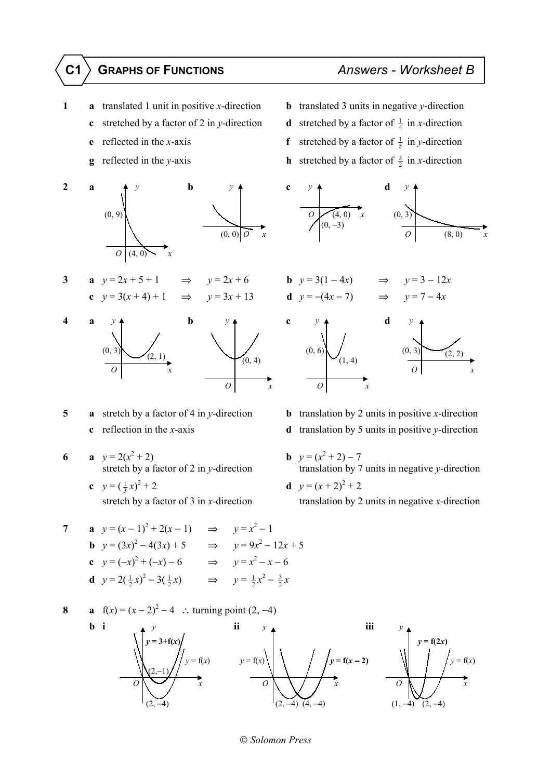- - **c** stretched by a factor of 2 in *y*-direction **d**
	-
	-



3 **a** 
$$
y = 2x + 5 + 1
$$
  $\Rightarrow$   $y = 2x$   
**c**  $y = 3(x + 4) + 1$   $\Rightarrow$   $y = 3x$ 



- **5 a** stretch by a factor of 4 in *y*-direction **b** translation by 2 units in positive *x*-direction
- **6 a**  $y = 2(x^2)$ + 2) **b**  $y = (x^2 + 2) - 7$ 
	- **c**  $y = (\frac{1}{3}x)^2$ + 2 **d**  $y = (x + 2)^2 + 2$

7 **a** 
$$
y=(x-1)^2 + 2(x-1)
$$
  $\Rightarrow$   $y=x^2-1$   
\n**b**  $y=(3x)^2 - 4(3x) + 5$   $\Rightarrow$   $y = 9x^2 - 12x + 5$   
\n**c**  $y = (-x)^2 + (-x) - 6$   $\Rightarrow$   $y = x^2 - x - 6$   
\n**d**  $y = 2(\frac{1}{2}x)^2 - 3(\frac{1}{2}x)$   $\Rightarrow$   $y = \frac{1}{2}x^2 - \frac{3}{2}x$ 

8 **a** 
$$
f(x) = (x - 2)^2 - 4
$$
 : turning point (2, -4)  
\n**b i**  
\n**o**  
\n**ii**  $y$   
\n**iii**  
\n**iii**  
\n**iv**  
\n**ii**  
\n**iii**  
\n**iv**  
\n**iii**  
\n**v**  
\n**iv**  
\n**iii**  
\n**v**  
\n**v**  
\n**v**  
\n**v**  
\n**v**  
\n**v**  
\n**v**  
\n**v**  
\n**v**  
\n**v**  
\n**v**  
\n**v**  
\n**v**  
\n**v**  
\n**v**  
\n**v**  
\n**v**  
\n**v**  
\n**v**  
\n**v**  
\n**v**  
\n**v**  
\n**v**  
\n**v**  
\n**v**  
\n**v**  
\n**v**  
\n**v**  
\n**v**  
\n**v**  
\n**v**  
\n**v**  
\n**v**  
\n**v**  
\n**v**  
\n**v**  
\n**v**  
\n**v**  
\n**v**  
\n**v**  
\n**v**  
\n**v**  
\n**v**  
\n**v**  
\n**v**  
\n**v**  
\n**v**  
\n**v**  
\n**v**  
\n**v**  
\n**v**  
\n**v**  
\n**v**  
\n**v**  
\n**v**  
\n**v**  
\n**v**  
\n**v**  
\n**v**  
\n**v**  
\n**v**  
\n**v**  
\n**v**  
\n**v**  
\n**v**  
\n**v**  
\n**v**  
\n**v**  
\n**v**  
\n**v**  
\n**v**  
\n**v**  
\n**v**  
\n**v**  
\n**v**  
\n

## **1 a** translated 1 unit in positive *x*-direction **b** translated 3 units in negative *y*-direction

- stretched by a factor of  $\frac{1}{4}$  in *x*-direction
- **e** reflected in the *x*-axis **f** stretched by a factor of  $\frac{1}{5}$  in *y*-direction
- **g** reflected in the *y*-axis **h** stretched by a factor of  $\frac{3}{2}$  in *x*-direction





- **c** reflection in the *x*-axis **d** translation by 5 units in positive *y*-direction
	- stretch by a factor of 2 in *y*-direction translation by 7 units in negative *y*-direction
	- stretch by a factor of 3 in *x*-direction translation by 2 units in negative *x*-direction

*Solomon Press*

## **C1 GRAPHS OF FUNCTIONS** *Answers - Worksheet B*